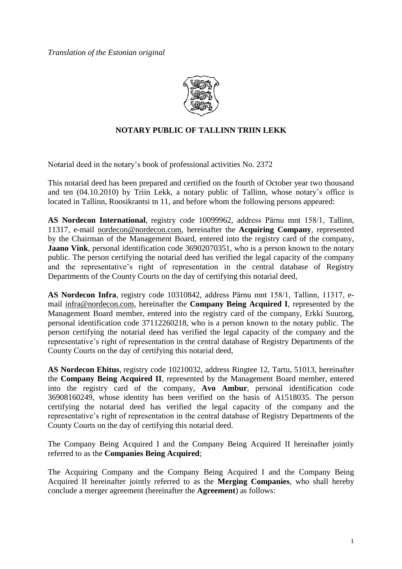

# **NOTARY PUBLIC OF TALLINN TRIIN LEKK**

Notarial deed in the notary's book of professional activities No. 2372

This notarial deed has been prepared and certified on the fourth of October year two thousand and ten (04.10.2010) by Triin Lekk, a notary public of Tallinn, whose notary's office is located in Tallinn, Roosikrantsi tn 11, and before whom the following persons appeared:

**AS Nordecon International**, registry code 10099962, address Pärnu mnt 158/1, Tallinn, 11317, e-mail nordecon@nordecon.com, hereinafter the **Acquiring Company**, represented by the Chairman of the Management Board, entered into the registry card of the company, **Jaano Vink**, personal identification code 36902070351, who is a person known to the notary public. The person certifying the notarial deed has verified the legal capacity of the company and the representative's right of representation in the central database of Registry Departments of the County Courts on the day of certifying this notarial deed,

**AS Nordecon Infra**, registry code 10310842, address Pärnu mnt 158/1, Tallinn, 11317, email infra@nordecon.com, hereinafter the **Company Being Acquired I**, represented by the Management Board member, entered into the registry card of the company, Erkki Suurorg, personal identification code 37112260218, who is a person known to the notary public. The person certifying the notarial deed has verified the legal capacity of the company and the representative's right of representation in the central database of Registry Departments of the County Courts on the day of certifying this notarial deed,

**AS Nordecon Ehitus**, registry code 10210032, address Ringtee 12, Tartu, 51013, hereinafter the **Company Being Acquired II**, represented by the Management Board member, entered into the registry card of the company, **Avo Ambur**, personal identification code 36908160249, whose identity has been verified on the basis of A1518035. The person certifying the notarial deed has verified the legal capacity of the company and the representative's right of representation in the central database of Registry Departments of the County Courts on the day of certifying this notarial deed.

The Company Being Acquired I and the Company Being Acquired II hereinafter jointly referred to as the **Companies Being Acquired**;

The Acquiring Company and the Company Being Acquired I and the Company Being Acquired II hereinafter jointly referred to as the **Merging Companies**, who shall hereby conclude a merger agreement (hereinafter the **Agreement**) as follows: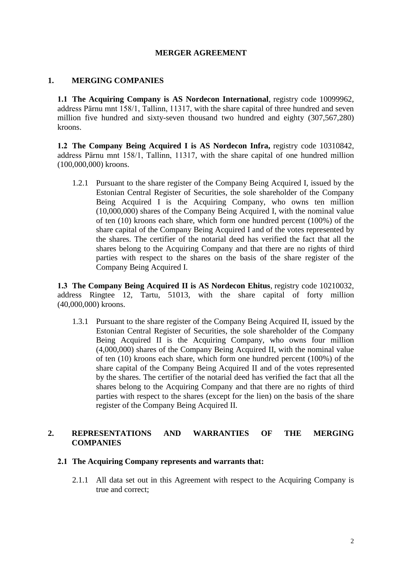## **MERGER AGREEMENT**

## **1. MERGING COMPANIES**

**1.1 The Acquiring Company is AS Nordecon International**, registry code 10099962, address Pärnu mnt 158/1, Tallinn, 11317, with the share capital of three hundred and seven million five hundred and sixty-seven thousand two hundred and eighty (307,567,280) kroons.

**1.2 The Company Being Acquired I is AS Nordecon Infra,** registry code 10310842, address Pärnu mnt 158/1, Tallinn, 11317, with the share capital of one hundred million (100,000,000) kroons.

1.2.1 Pursuant to the share register of the Company Being Acquired I, issued by the Estonian Central Register of Securities, the sole shareholder of the Company Being Acquired I is the Acquiring Company, who owns ten million (10,000,000) shares of the Company Being Acquired I, with the nominal value of ten (10) kroons each share, which form one hundred percent (100%) of the share capital of the Company Being Acquired I and of the votes represented by the shares. The certifier of the notarial deed has verified the fact that all the shares belong to the Acquiring Company and that there are no rights of third parties with respect to the shares on the basis of the share register of the Company Being Acquired I.

**1.3 The Company Being Acquired II is AS Nordecon Ehitus**, registry code 10210032, address Ringtee 12, Tartu, 51013, with the share capital of forty million (40,000,000) kroons.

1.3.1 Pursuant to the share register of the Company Being Acquired II, issued by the Estonian Central Register of Securities, the sole shareholder of the Company Being Acquired II is the Acquiring Company, who owns four million (4,000,000) shares of the Company Being Acquired II, with the nominal value of ten (10) kroons each share, which form one hundred percent (100%) of the share capital of the Company Being Acquired II and of the votes represented by the shares. The certifier of the notarial deed has verified the fact that all the shares belong to the Acquiring Company and that there are no rights of third parties with respect to the shares (except for the lien) on the basis of the share register of the Company Being Acquired II.

## **2. REPRESENTATIONS AND WARRANTIES OF THE MERGING COMPANIES**

#### **2.1 The Acquiring Company represents and warrants that:**

2.1.1 All data set out in this Agreement with respect to the Acquiring Company is true and correct;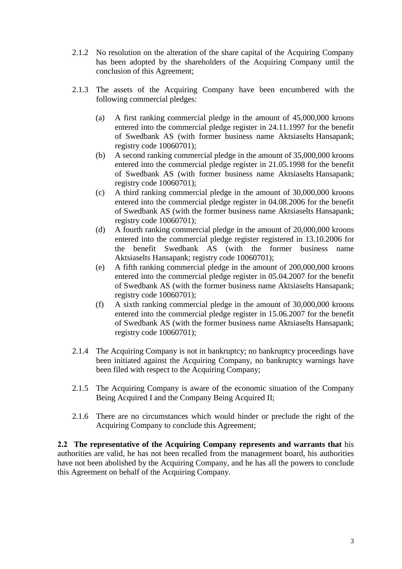- 2.1.2 No resolution on the alteration of the share capital of the Acquiring Company has been adopted by the shareholders of the Acquiring Company until the conclusion of this Agreement;
- 2.1.3 The assets of the Acquiring Company have been encumbered with the following commercial pledges:
	- (a) A first ranking commercial pledge in the amount of 45,000,000 kroons entered into the commercial pledge register in 24.11.1997 for the benefit of Swedbank AS (with former business name Aktsiaselts Hansapank; registry code 10060701);
	- (b) A second ranking commercial pledge in the amount of 35,000,000 kroons entered into the commercial pledge register in 21.05.1998 for the benefit of Swedbank AS (with former business name Aktsiaselts Hansapank; registry code 10060701);
	- (c) A third ranking commercial pledge in the amount of 30,000,000 kroons entered into the commercial pledge register in 04.08.2006 for the benefit of Swedbank AS (with the former business name Aktsiaselts Hansapank; registry code 10060701);
	- (d) A fourth ranking commercial pledge in the amount of 20,000,000 kroons entered into the commercial pledge register registered in 13.10.2006 for the benefit Swedbank AS (with the former business name Aktsiaselts Hansapank; registry code 10060701);
	- (e) A fifth ranking commercial pledge in the amount of 200,000,000 kroons entered into the commercial pledge register in 05.04.2007 for the benefit of Swedbank AS (with the former business name Aktsiaselts Hansapank; registry code 10060701);
	- (f) A sixth ranking commercial pledge in the amount of 30,000,000 kroons entered into the commercial pledge register in 15.06.2007 for the benefit of Swedbank AS (with the former business name Aktsiaselts Hansapank; registry code 10060701);
- 2.1.4 The Acquiring Company is not in bankruptcy; no bankruptcy proceedings have been initiated against the Acquiring Company, no bankruptcy warnings have been filed with respect to the Acquiring Company;
- 2.1.5 The Acquiring Company is aware of the economic situation of the Company Being Acquired I and the Company Being Acquired II;
- 2.1.6 There are no circumstances which would hinder or preclude the right of the Acquiring Company to conclude this Agreement;

**2.2 The representative of the Acquiring Company represents and warrants that** his authorities are valid, he has not been recalled from the management board, his authorities have not been abolished by the Acquiring Company, and he has all the powers to conclude this Agreement on behalf of the Acquiring Company.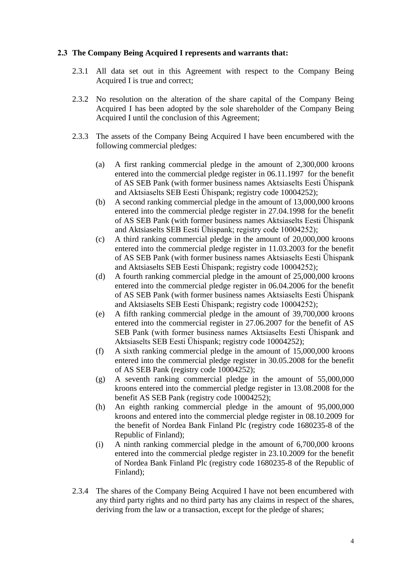#### **2.3 The Company Being Acquired I represents and warrants that:**

- 2.3.1 All data set out in this Agreement with respect to the Company Being Acquired I is true and correct;
- 2.3.2 No resolution on the alteration of the share capital of the Company Being Acquired I has been adopted by the sole shareholder of the Company Being Acquired I until the conclusion of this Agreement;
- 2.3.3 The assets of the Company Being Acquired I have been encumbered with the following commercial pledges:
	- (a) A first ranking commercial pledge in the amount of 2,300,000 kroons entered into the commercial pledge register in 06.11.1997 for the benefit of AS SEB Pank (with former business names Aktsiaselts Eesti Ühispank and Aktsiaselts SEB Eesti Ühispank; registry code 10004252);
	- (b) A second ranking commercial pledge in the amount of 13,000,000 kroons entered into the commercial pledge register in 27.04.1998 for the benefit of AS SEB Pank (with former business names Aktsiaselts Eesti Ühispank and Aktsiaselts SEB Eesti Ühispank; registry code 10004252);
	- (c) A third ranking commercial pledge in the amount of 20,000,000 kroons entered into the commercial pledge register in 11.03.2003 for the benefit of AS SEB Pank (with former business names Aktsiaselts Eesti Ühispank and Aktsiaselts SEB Eesti Ühispank; registry code 10004252);
	- (d) A fourth ranking commercial pledge in the amount of 25,000,000 kroons entered into the commercial pledge register in 06.04.2006 for the benefit of AS SEB Pank (with former business names Aktsiaselts Eesti Ühispank and Aktsiaselts SEB Eesti Ühispank; registry code 10004252);
	- (e) A fifth ranking commercial pledge in the amount of 39,700,000 kroons entered into the commercial register in 27.06.2007 for the benefit of AS SEB Pank (with former business names Aktsiaselts Eesti Ühispank and Aktsiaselts SEB Eesti Ühispank; registry code 10004252);
	- (f) A sixth ranking commercial pledge in the amount of 15,000,000 kroons entered into the commercial pledge register in 30.05.2008 for the benefit of AS SEB Pank (registry code 10004252);
	- (g) A seventh ranking commercial pledge in the amount of 55,000,000 kroons entered into the commercial pledge register in 13.08.2008 for the benefit AS SEB Pank (registry code 10004252);
	- (h) An eighth ranking commercial pledge in the amount of 95,000,000 kroons and entered into the commercial pledge register in 08.10.2009 for the benefit of Nordea Bank Finland Plc (registry code 1680235-8 of the Republic of Finland);
	- (i) A ninth ranking commercial pledge in the amount of 6,700,000 kroons entered into the commercial pledge register in 23.10.2009 for the benefit of Nordea Bank Finland Plc (registry code 1680235-8 of the Republic of Finland);
- 2.3.4 The shares of the Company Being Acquired I have not been encumbered with any third party rights and no third party has any claims in respect of the shares, deriving from the law or a transaction, except for the pledge of shares;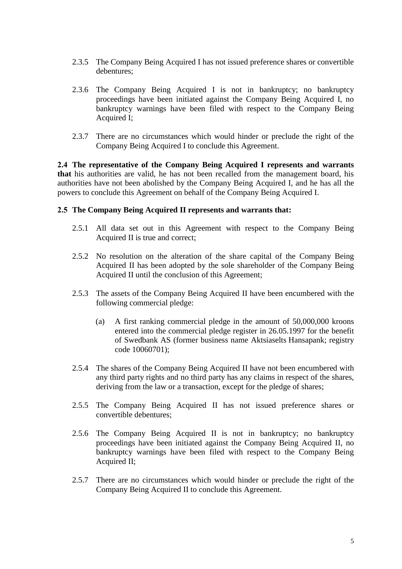- 2.3.5 The Company Being Acquired I has not issued preference shares or convertible debentures;
- 2.3.6 The Company Being Acquired I is not in bankruptcy; no bankruptcy proceedings have been initiated against the Company Being Acquired I, no bankruptcy warnings have been filed with respect to the Company Being Acquired I;
- 2.3.7 There are no circumstances which would hinder or preclude the right of the Company Being Acquired I to conclude this Agreement.

**2.4 The representative of the Company Being Acquired I represents and warrants that** his authorities are valid, he has not been recalled from the management board, his authorities have not been abolished by the Company Being Acquired I, and he has all the powers to conclude this Agreement on behalf of the Company Being Acquired I.

## **2.5 The Company Being Acquired II represents and warrants that:**

- 2.5.1 All data set out in this Agreement with respect to the Company Being Acquired II is true and correct;
- 2.5.2 No resolution on the alteration of the share capital of the Company Being Acquired II has been adopted by the sole shareholder of the Company Being Acquired II until the conclusion of this Agreement;
- 2.5.3 The assets of the Company Being Acquired II have been encumbered with the following commercial pledge:
	- (a) A first ranking commercial pledge in the amount of 50,000,000 kroons entered into the commercial pledge register in 26.05.1997 for the benefit of Swedbank AS (former business name Aktsiaselts Hansapank; registry code 10060701);
- 2.5.4 The shares of the Company Being Acquired II have not been encumbered with any third party rights and no third party has any claims in respect of the shares, deriving from the law or a transaction, except for the pledge of shares;
- 2.5.5 The Company Being Acquired II has not issued preference shares or convertible debentures;
- 2.5.6 The Company Being Acquired II is not in bankruptcy; no bankruptcy proceedings have been initiated against the Company Being Acquired II, no bankruptcy warnings have been filed with respect to the Company Being Acquired II;
- 2.5.7 There are no circumstances which would hinder or preclude the right of the Company Being Acquired II to conclude this Agreement.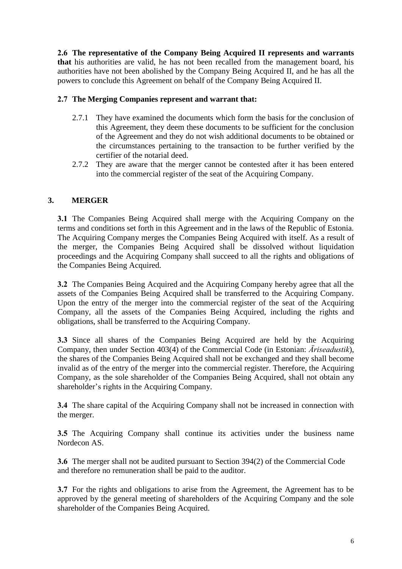**2.6 The representative of the Company Being Acquired II represents and warrants that** his authorities are valid, he has not been recalled from the management board, his authorities have not been abolished by the Company Being Acquired II, and he has all the powers to conclude this Agreement on behalf of the Company Being Acquired II.

## **2.7 The Merging Companies represent and warrant that:**

- 2.7.1 They have examined the documents which form the basis for the conclusion of this Agreement, they deem these documents to be sufficient for the conclusion of the Agreement and they do not wish additional documents to be obtained or the circumstances pertaining to the transaction to be further verified by the certifier of the notarial deed.
- 2.7.2 They are aware that the merger cannot be contested after it has been entered into the commercial register of the seat of the Acquiring Company.

# **3. MERGER**

**3.1** The Companies Being Acquired shall merge with the Acquiring Company on the terms and conditions set forth in this Agreement and in the laws of the Republic of Estonia. The Acquiring Company merges the Companies Being Acquired with itself. As a result of the merger, the Companies Being Acquired shall be dissolved without liquidation proceedings and the Acquiring Company shall succeed to all the rights and obligations of the Companies Being Acquired.

**3.2** The Companies Being Acquired and the Acquiring Company hereby agree that all the assets of the Companies Being Acquired shall be transferred to the Acquiring Company. Upon the entry of the merger into the commercial register of the seat of the Acquiring Company, all the assets of the Companies Being Acquired, including the rights and obligations, shall be transferred to the Acquiring Company.

**3.3** Since all shares of the Companies Being Acquired are held by the Acquiring Company, then under Section 403(4) of the Commercial Code (in Estonian: *Äriseadustik*), the shares of the Companies Being Acquired shall not be exchanged and they shall become invalid as of the entry of the merger into the commercial register. Therefore, the Acquiring Company, as the sole shareholder of the Companies Being Acquired, shall not obtain any shareholder's rights in the Acquiring Company.

**3.4** The share capital of the Acquiring Company shall not be increased in connection with the merger.

**3.5** The Acquiring Company shall continue its activities under the business name Nordecon AS.

**3.6** The merger shall not be audited pursuant to Section 394(2) of the Commercial Code and therefore no remuneration shall be paid to the auditor.

**3.7** For the rights and obligations to arise from the Agreement, the Agreement has to be approved by the general meeting of shareholders of the Acquiring Company and the sole shareholder of the Companies Being Acquired.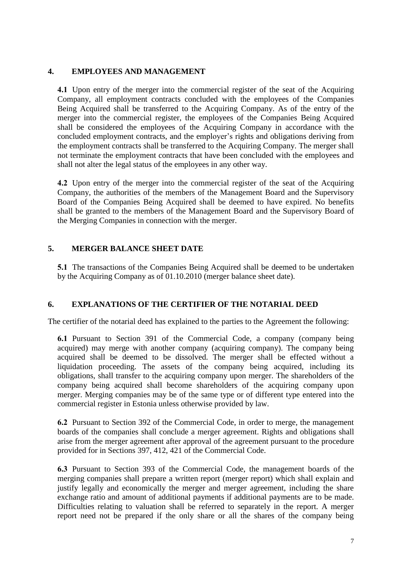## **4. EMPLOYEES AND MANAGEMENT**

**4.1** Upon entry of the merger into the commercial register of the seat of the Acquiring Company, all employment contracts concluded with the employees of the Companies Being Acquired shall be transferred to the Acquiring Company. As of the entry of the merger into the commercial register, the employees of the Companies Being Acquired shall be considered the employees of the Acquiring Company in accordance with the concluded employment contracts, and the employer's rights and obligations deriving from the employment contracts shall be transferred to the Acquiring Company. The merger shall not terminate the employment contracts that have been concluded with the employees and shall not alter the legal status of the employees in any other way.

**4.2** Upon entry of the merger into the commercial register of the seat of the Acquiring Company, the authorities of the members of the Management Board and the Supervisory Board of the Companies Being Acquired shall be deemed to have expired. No benefits shall be granted to the members of the Management Board and the Supervisory Board of the Merging Companies in connection with the merger.

## **5. MERGER BALANCE SHEET DATE**

**5.1** The transactions of the Companies Being Acquired shall be deemed to be undertaken by the Acquiring Company as of 01.10.2010 (merger balance sheet date).

## **6. EXPLANATIONS OF THE CERTIFIER OF THE NOTARIAL DEED**

The certifier of the notarial deed has explained to the parties to the Agreement the following:

**6.1** Pursuant to Section 391 of the Commercial Code, a company (company being acquired) may merge with another company (acquiring company). The company being acquired shall be deemed to be dissolved. The merger shall be effected without a liquidation proceeding. The assets of the company being acquired, including its obligations, shall transfer to the acquiring company upon merger. The shareholders of the company being acquired shall become shareholders of the acquiring company upon merger. Merging companies may be of the same type or of different type entered into the commercial register in Estonia unless otherwise provided by law.

**6.2** Pursuant to Section 392 of the Commercial Code, in order to merge, the management boards of the companies shall conclude a merger agreement. Rights and obligations shall arise from the merger agreement after approval of the agreement pursuant to the procedure provided for in Sections 397, 412, 421 of the Commercial Code.

**6.3** Pursuant to Section 393 of the Commercial Code, the management boards of the merging companies shall prepare a written report (merger report) which shall explain and justify legally and economically the merger and merger agreement, including the share exchange ratio and amount of additional payments if additional payments are to be made. Difficulties relating to valuation shall be referred to separately in the report. A merger report need not be prepared if the only share or all the shares of the company being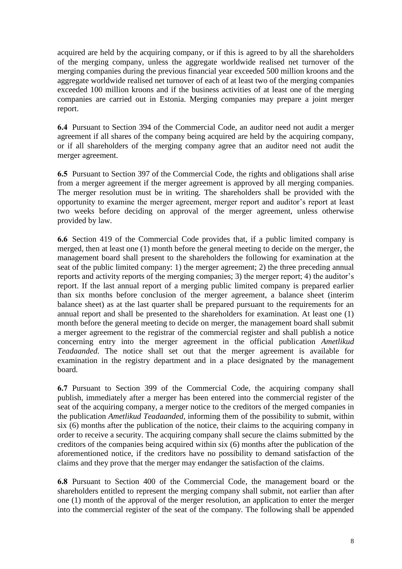acquired are held by the acquiring company, or if this is agreed to by all the shareholders of the merging company, unless the aggregate worldwide realised net turnover of the merging companies during the previous financial year exceeded 500 million kroons and the aggregate worldwide realised net turnover of each of at least two of the merging companies exceeded 100 million kroons and if the business activities of at least one of the merging companies are carried out in Estonia. Merging companies may prepare a joint merger report.

**6.4** Pursuant to Section 394 of the Commercial Code, an auditor need not audit a merger agreement if all shares of the company being acquired are held by the acquiring company, or if all shareholders of the merging company agree that an auditor need not audit the merger agreement.

**6.5** Pursuant to Section 397 of the Commercial Code, the rights and obligations shall arise from a merger agreement if the merger agreement is approved by all merging companies. The merger resolution must be in writing. The shareholders shall be provided with the opportunity to examine the merger agreement, merger report and auditor's report at least two weeks before deciding on approval of the merger agreement, unless otherwise provided by law.

**6.6** Section 419 of the Commercial Code provides that, if a public limited company is merged, then at least one (1) month before the general meeting to decide on the merger, the management board shall present to the shareholders the following for examination at the seat of the public limited company: 1) the merger agreement; 2) the three preceding annual reports and activity reports of the merging companies; 3) the merger report; 4) the auditor's report. If the last annual report of a merging public limited company is prepared earlier than six months before conclusion of the merger agreement, a balance sheet (interim balance sheet) as at the last quarter shall be prepared pursuant to the requirements for an annual report and shall be presented to the shareholders for examination. At least one (1) month before the general meeting to decide on merger, the management board shall submit a merger agreement to the registrar of the commercial register and shall publish a notice concerning entry into the merger agreement in the official publication *Ametlikud Teadaanded*. The notice shall set out that the merger agreement is available for examination in the registry department and in a place designated by the management board.

**6.7** Pursuant to Section 399 of the Commercial Code, the acquiring company shall publish, immediately after a merger has been entered into the commercial register of the seat of the acquiring company, a merger notice to the creditors of the merged companies in the publication *Ametlikud Teadaanded*, informing them of the possibility to submit, within six (6) months after the publication of the notice, their claims to the acquiring company in order to receive a security. The acquiring company shall secure the claims submitted by the creditors of the companies being acquired within six (6) months after the publication of the aforementioned notice, if the creditors have no possibility to demand satisfaction of the claims and they prove that the merger may endanger the satisfaction of the claims.

**6.8** Pursuant to Section 400 of the Commercial Code, the management board or the shareholders entitled to represent the merging company shall submit, not earlier than after one (1) month of the approval of the merger resolution, an application to enter the merger into the commercial register of the seat of the company. The following shall be appended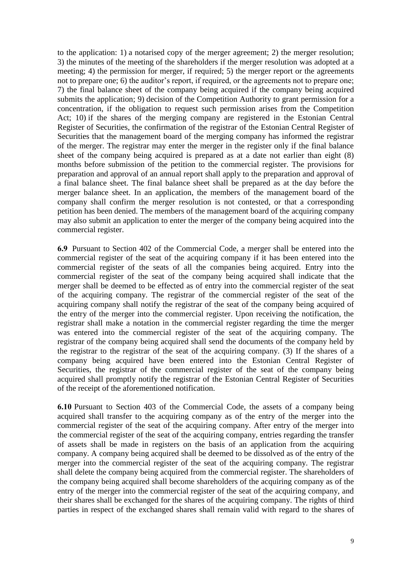to the application: 1) a notarised copy of the merger agreement; 2) the merger resolution; 3) the minutes of the meeting of the shareholders if the merger resolution was adopted at a meeting; 4) the permission for merger, if required; 5) the merger report or the agreements not to prepare one; 6) the auditor's report, if required, or the agreements not to prepare one; 7) the final balance sheet of the company being acquired if the company being acquired submits the application; 9) decision of the Competition Authority to grant permission for a concentration, if the obligation to request such permission arises from the Competition Act; 10) if the shares of the merging company are registered in the Estonian Central Register of Securities, the confirmation of the registrar of the Estonian Central Register of Securities that the management board of the merging company has informed the registrar of the merger. The registrar may enter the merger in the register only if the final balance sheet of the company being acquired is prepared as at a date not earlier than eight (8) months before submission of the petition to the commercial register. The provisions for preparation and approval of an annual report shall apply to the preparation and approval of a final balance sheet. The final balance sheet shall be prepared as at the day before the merger balance sheet. In an application, the members of the management board of the company shall confirm the merger resolution is not contested, or that a corresponding petition has been denied. The members of the management board of the acquiring company may also submit an application to enter the merger of the company being acquired into the commercial register.

**6.9** Pursuant to Section 402 of the Commercial Code, a merger shall be entered into the commercial register of the seat of the acquiring company if it has been entered into the commercial register of the seats of all the companies being acquired. Entry into the commercial register of the seat of the company being acquired shall indicate that the merger shall be deemed to be effected as of entry into the commercial register of the seat of the acquiring company. The registrar of the commercial register of the seat of the acquiring company shall notify the registrar of the seat of the company being acquired of the entry of the merger into the commercial register. Upon receiving the notification, the registrar shall make a notation in the commercial register regarding the time the merger was entered into the commercial register of the seat of the acquiring company. The registrar of the company being acquired shall send the documents of the company held by the registrar to the registrar of the seat of the acquiring company. (3) If the shares of a company being acquired have been entered into the Estonian Central Register of Securities, the registrar of the commercial register of the seat of the company being acquired shall promptly notify the registrar of the Estonian Central Register of Securities of the receipt of the aforementioned notification.

**6.10** Pursuant to Section 403 of the Commercial Code, the assets of a company being acquired shall transfer to the acquiring company as of the entry of the merger into the commercial register of the seat of the acquiring company. After entry of the merger into the commercial register of the seat of the acquiring company, entries regarding the transfer of assets shall be made in registers on the basis of an application from the acquiring company. A company being acquired shall be deemed to be dissolved as of the entry of the merger into the commercial register of the seat of the acquiring company. The registrar shall delete the company being acquired from the commercial register. The shareholders of the company being acquired shall become shareholders of the acquiring company as of the entry of the merger into the commercial register of the seat of the acquiring company, and their shares shall be exchanged for the shares of the acquiring company. The rights of third parties in respect of the exchanged shares shall remain valid with regard to the shares of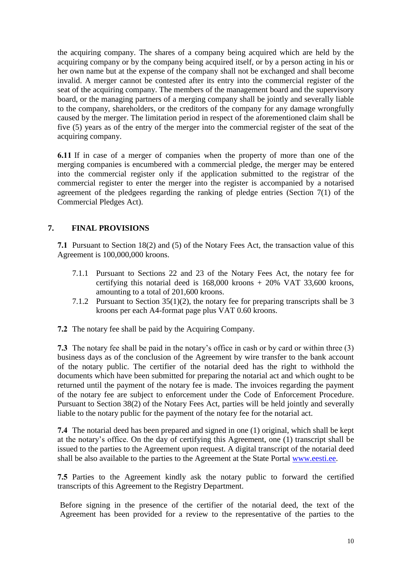the acquiring company. The shares of a company being acquired which are held by the acquiring company or by the company being acquired itself, or by a person acting in his or her own name but at the expense of the company shall not be exchanged and shall become invalid. A merger cannot be contested after its entry into the commercial register of the seat of the acquiring company. The members of the management board and the supervisory board, or the managing partners of a merging company shall be jointly and severally liable to the company, shareholders, or the creditors of the company for any damage wrongfully caused by the merger. The limitation period in respect of the aforementioned claim shall be five (5) years as of the entry of the merger into the commercial register of the seat of the acquiring company.

**6.11** If in case of a merger of companies when the property of more than one of the merging companies is encumbered with a commercial pledge, the merger may be entered into the commercial register only if the application submitted to the registrar of the commercial register to enter the merger into the register is accompanied by a notarised agreement of the pledgees regarding the ranking of pledge entries (Section 7(1) of the Commercial Pledges Act).

# **7. FINAL PROVISIONS**

**7.1** Pursuant to Section 18(2) and (5) of the Notary Fees Act, the transaction value of this Agreement is 100,000,000 kroons.

- 7.1.1 Pursuant to Sections 22 and 23 of the Notary Fees Act, the notary fee for certifying this notarial deed is 168,000 kroons + 20% VAT 33,600 kroons, amounting to a total of 201,600 kroons.
- 7.1.2 Pursuant to Section 35(1)(2), the notary fee for preparing transcripts shall be 3 kroons per each A4-format page plus VAT 0.60 kroons.
- **7.2** The notary fee shall be paid by the Acquiring Company.

**7.3** The notary fee shall be paid in the notary's office in cash or by card or within three (3) business days as of the conclusion of the Agreement by wire transfer to the bank account of the notary public. The certifier of the notarial deed has the right to withhold the documents which have been submitted for preparing the notarial act and which ought to be returned until the payment of the notary fee is made. The invoices regarding the payment of the notary fee are subject to enforcement under the Code of Enforcement Procedure. Pursuant to Section 38(2) of the Notary Fees Act, parties will be held jointly and severally liable to the notary public for the payment of the notary fee for the notarial act.

**7.4** The notarial deed has been prepared and signed in one (1) original, which shall be kept at the notary's office. On the day of certifying this Agreement, one (1) transcript shall be issued to the parties to the Agreement upon request. A digital transcript of the notarial deed shall be also available to the parties to the Agreement at the State Portal [www.eesti.ee.](http://www.eesti.ee/)

**7.5** Parties to the Agreement kindly ask the notary public to forward the certified transcripts of this Agreement to the Registry Department.

Before signing in the presence of the certifier of the notarial deed, the text of the Agreement has been provided for a review to the representative of the parties to the